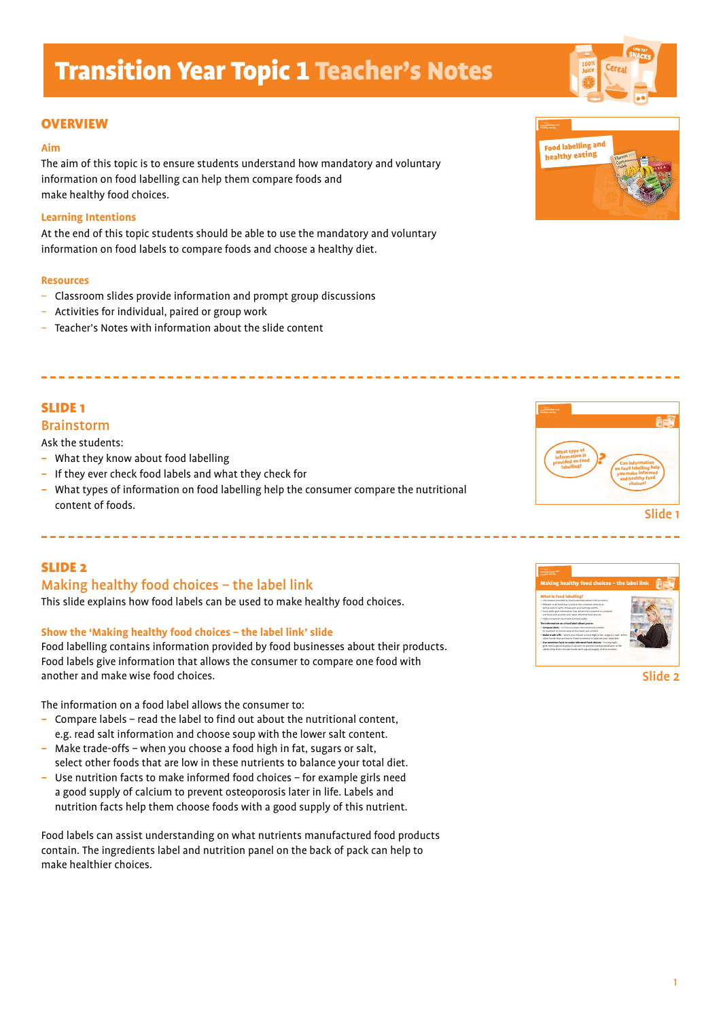#### **OVERVIEW**

#### **Aim**

The aim of this topic is to ensure students understand how mandatory and voluntary information on food labelling can help them compare foods and make healthy food choices.

#### **Learning Intentions**

At the end of this topic students should be able to use the mandatory and voluntary information on food labels to compare foods and choose a healthy diet.

#### **Resources**

- Classroom slides provide information and prompt group discussions
- Activities for individual, paired or group work
- Teacher's Notes with information about the slide content

## SLIDE 1

## Brainstorm

Ask the students:

- What they know about food labelling
- If they ever check food labels and what they check for

--------------------------

*–* What types of information on food labelling help the consumer compare the nutritional content of foods.

## SLIDE 2

## Making healthy food choices – the label link

This slide explains how food labels can be used to make healthy food choices.

#### **Show the 'Making healthy food choices – the label link' slide**

Food labelling contains information provided by food businesses about their products. Food labels give information that allows the consumer to compare one food with another and make wise food choices.

The information on a food label allows the consumer to:

- Compare labels read the label to find out about the nutritional content, e.g. read salt information and choose soup with the lower salt content.
- Make trade-offs when you choose a food high in fat, sugars or salt, select other foods that are low in these nutrients to balance your total diet.
- Use nutrition facts to make informed food choices for example girls need a good supply of calcium to prevent osteoporosis later in life. Labels and nutrition facts help them choose foods with a good supply of this nutrient.

Food labels can assist understanding on what nutrients manufactured food products contain. The ingredients label and nutrition panel on the back of pack can help to make healthier choices.







Slide 2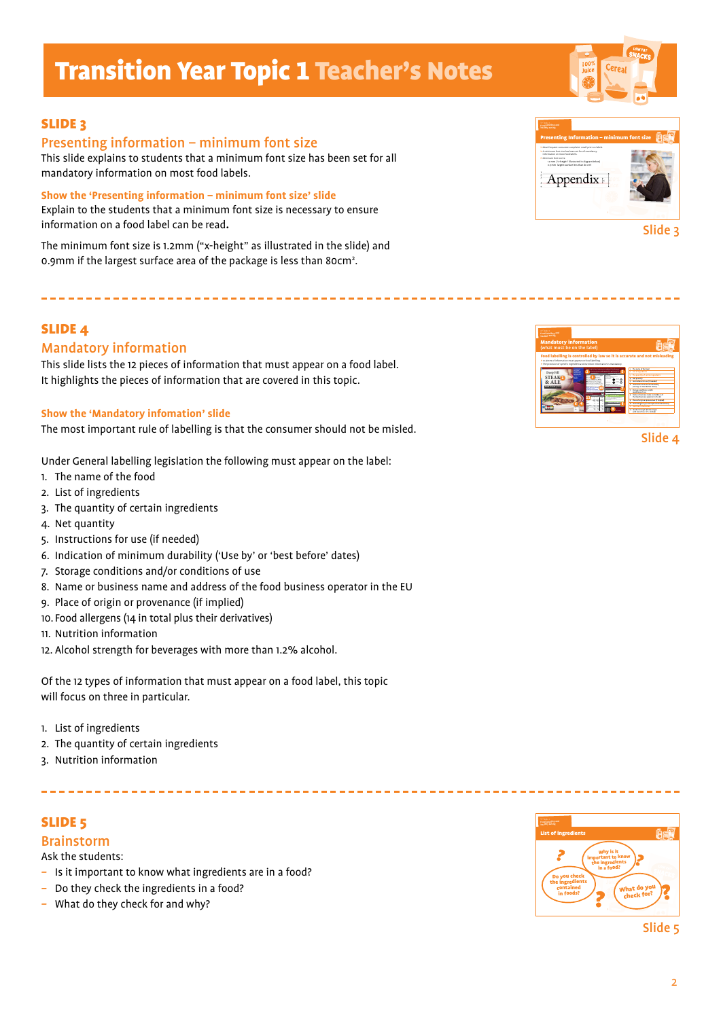

## Presenting information – minimum font size

This slide explains to students that a minimum font size has been set for all mandatory information on most food labels.

**Show the 'Presenting information – minimum font size' slide**  Explain to the students that a minimum font size is necessary to ensure information on a food label can be read**.**

The minimum font size is 1.2mm ("x-height" as illustrated in the slide) and 0.9mm if the largest surface area of the package is less than 80cm<sup>2</sup>.

-------------------------------------

## SLIDE 4

## Mandatory information

This slide lists the 12 pieces of information that must appear on a food label. It highlights the pieces of information that are covered in this topic.

#### **Show the 'Mandatory infomation' slide**

The most important rule of labelling is that the consumer should not be misled.

Under General labelling legislation the following must appear on the label:

- 1. The name of the food
- 2. List of ingredients
- 3. The quantity of certain ingredients
- 4. Net quantity
- 5. Instructions for use (if needed)
- 6. Indication of minimum durability ('Use by' or 'best before' dates)
- 7. Storage conditions and/or conditions of use
- 8. Name or business name and address of the food business operator in the EU
- 9. Place of origin or provenance (if implied)
- 10. Food allergens (14 in total plus their derivatives)
- 11. Nutrition information
- 12. Alcohol strength for beverages with more than 1.2% alcohol.

Of the 12 types of information that must appear on a food label, this topic will focus on three in particular.

------------------------

- 1. List of ingredients
- 2. The quantity of certain ingredients
- 3. Nutrition information

## SLIDE 5

## Brainstorm

Ask the students:

- Is it important to know what ingredients are in a food?
- Do they check the ingredients in a food?
- What do they check for and why?



Slide 5



Mandatory information (what must be on the label)

> 12 pieces of information must appear on food labelling. > The provision of specific ingredient and nutrition information is mandatory.

1.2g35% Freezable

**Deep Fill STEAK & ALE Pu Pastry Pie**

Beef (31%) Fortifi ed Wheat Flour [**Wheat**  Flour, Calcium Carbonate, Iron, Niacin (B3), Thiamin (B1)], Water, Pastry Margarine [Palm Oil, Rapeseed Oil, Water, Salt], Pale Ale (8.0%) (**Barley**), Cornfl ower, Pork Lard, Onions (2.9%), **Milk**, Beef Bouillon [Salt, Dried Beef Extract, Potato Starch, Sugar, **Wheat**  Flour, Dried Onion, Dried Beef Fat, Citric Acid, Black Pepper], Salt, Pork Gelatine, **Barley** Malt Extract, Black Pepper. **Allergy Advice! For allergens see FLAVOURS OR HYDROGENATED FAT**

Tenderised Irish beef and onion in traditional Pale Ale gravy, baked in shortcrust pastry and topped with a puff pastry lid

Food labelling is controlled by law so it is accurate and not misleading

10

**Keep refrigerated. Suitable for freezing. Freeze on day of** 

**For best results cook from chilled To Oven Cook** • Remove all packaging • Pre-heat oven and place the pie in its foil onto a baking tray on the middle shelf  $F = 60$  $-$ **• check product is piping hot before serving**

5

 $\sim$ 

2

Sugars

 $-500$ 

Slide 3



('Use by' or 'best before' dates)

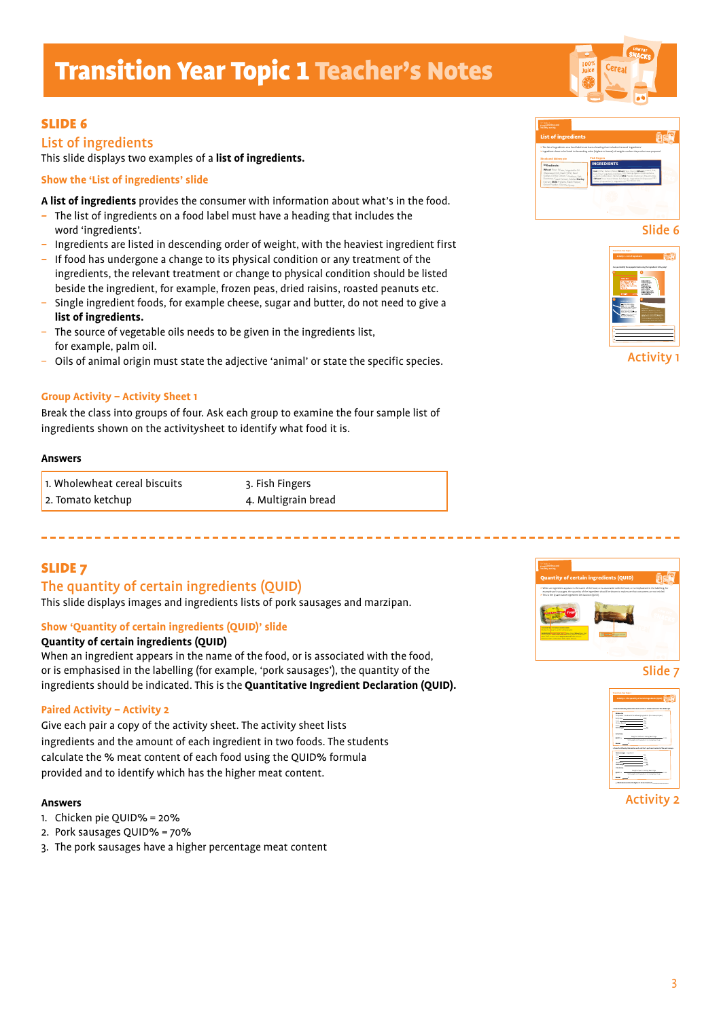## SLIDE 6

## List of ingredients

This slide displays two examples of a **list of ingredients.**

#### **Show the 'List of ingredients' slide**

**A list of ingredients** provides the consumer with information about what's in the food.

- The list of ingredients on a food label must have a heading that includes the word 'ingredients'.
- Ingredients are listed in descending order of weight, with the heaviest ingredient first
- If food has undergone a change to its physical condition or any treatment of the ingredients, the relevant treatment or change to physical condition should be listed beside the ingredient, for example, frozen peas, dried raisins, roasted peanuts etc.
- Single ingredient foods, for example cheese, sugar and butter, do not need to give a **list of ingredients.**
- The source of vegetable oils needs to be given in the ingredients list, for example, palm oil.
- Oils of animal origin must state the adjective 'animal' or state the specific species.

#### **Group Activity – Activity Sheet 1**

Break the class into groups of four. Ask each group to examine the four sample list of ingredients shown on the activitysheet to identify what food it is.

#### **Answers**

| 1. Wholewheat cereal biscuits | 3. Fish Fingers     |
|-------------------------------|---------------------|
| 2. Tomato ketchup             | 4. Multigrain bread |

## SLIDE 7

## The quantity of certain ingredients (QUID)

This slide displays images and ingredients lists of pork sausages and marzipan.

#### **Show 'Quantity of certain ingredients (QUID)' slide**

#### **Quantity of certain ingredients (QUID)**

When an ingredient appears in the name of the food, or is associated with the food, or is emphasised in the labelling (for example, 'pork sausages'), the quantity of the ingredients should be indicated. This is the **Quantitative Ingredient Declaration (QUID).**

#### **Paired Activity – Activity 2**

Give each pair a copy of the activity sheet. The activity sheet lists ingredients and the amount of each ingredient in two foods. The students calculate the % meat content of each food using the QUID% formula provided and to identify which has the higher meat content.

#### **Answers**

- 1. Chicken pie QUID% = 20%
- 2. Pork sausages QUID% = 70%
- 3. The pork sausages have a higher percentage meat content



Slide 6



Activity 1







Activity 2

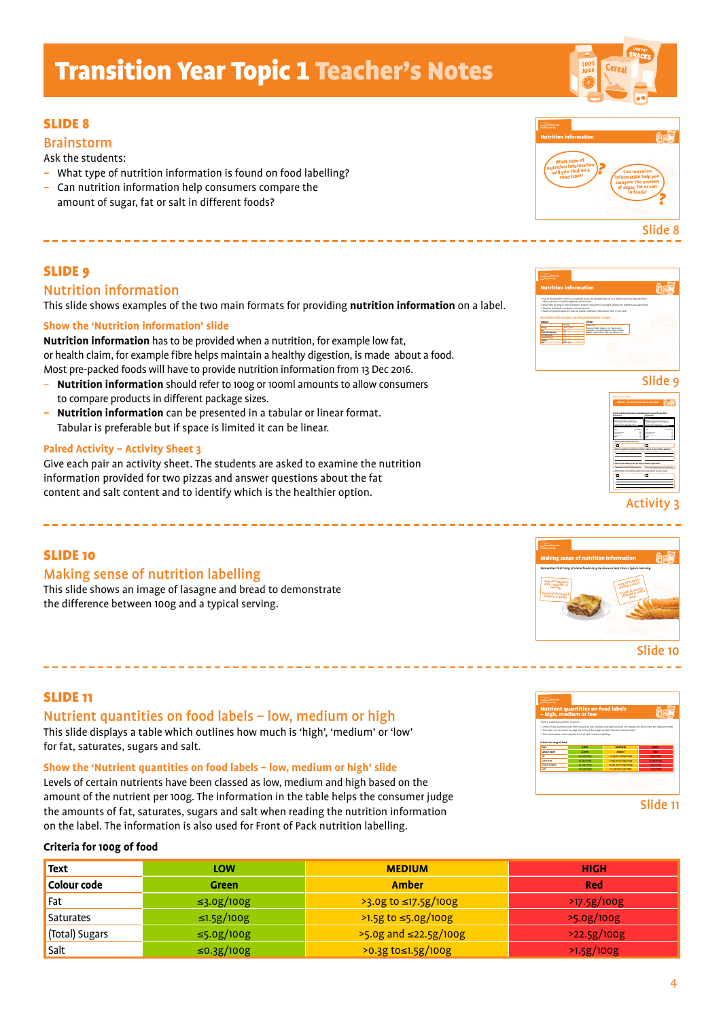## SLIDE 8

### Brainstorm

Ask the students:

- What type of nutrition information is found on food labelling?
- Can nutrition information help consumers compare the amount of sugar, fat or salt in different foods?

## SLIDE 9

## Nutrition information

This slide shows examples of the two main formats for providing **nutrition information** on a label.

#### **Show the 'Nutrition information' slide**

**Nutrition information** has to be provided when a nutrition, for example low fat, or health claim, for example fibre helps maintain a healthy digestion, is made about a food. Most pre-packed foods will have to provide nutrition information from 13 Dec 2016.

- **Nutrition information** should refer to 100g or 100ml amounts to allow consumers to compare products in different package sizes.
- **Nutrition information** can be presented in a tabular or linear format. Tabular is preferable but if space is limited it can be linear.

#### **Paired Activity – Activity Sheet 3**

Give each pair an activity sheet. The students are asked to examine the nutrition information provided for two pizzas and answer questions about the fat content and salt content and to identify which is the healthier option.

## SLIDE 10

### Making sense of nutrition labelling

This slide shows an image of lasagne and bread to demonstrate the difference between 100g and a typical serving.

#### SLIDE 11

Nutrient quantities on food labels – low, medium or high This slide displays a table which outlines how much is 'high', 'medium' or 'low' for fat, saturates, sugars and salt.

#### **Show the 'Nutrient quantities on food labels – low, medium or high' slide**

Levels of certain nutrients have been classed as low, medium and high based on the amount of the nutrient per 100g. The information in the table helps the consumer judge the amounts of fat, saturates, sugars and salt when reading the nutrition information on the label. The information is also used for Front of Pack nutrition labelling.

#### **Criteria for 100g of food**

| <b>Text</b>      | LOW               | <b>MEDIUM</b>           | <b>HIGH</b> |
|------------------|-------------------|-------------------------|-------------|
| Colour code      | Green             | Amber                   | Red         |
| Fat              | $\leq$ 3.0g/100g  | $>$ 3.0g to ≤17.5g/100g | >17.5g/100g |
| <b>Saturates</b> | $\leq 1.5g/100g$  | >1.5g to ≤5.0g/100g     | >5.0g/100g  |
| (Total) Sugars   | $\leq$ 5.0g/100g  | >5.0g and ≤22.5g/100g   | >22.5g/100g |
| Salt             | $\leq 0.3$ g/100g | >0.3g to≤1.5g/100g      | >1.5g/100g  |





## Activity 3









4

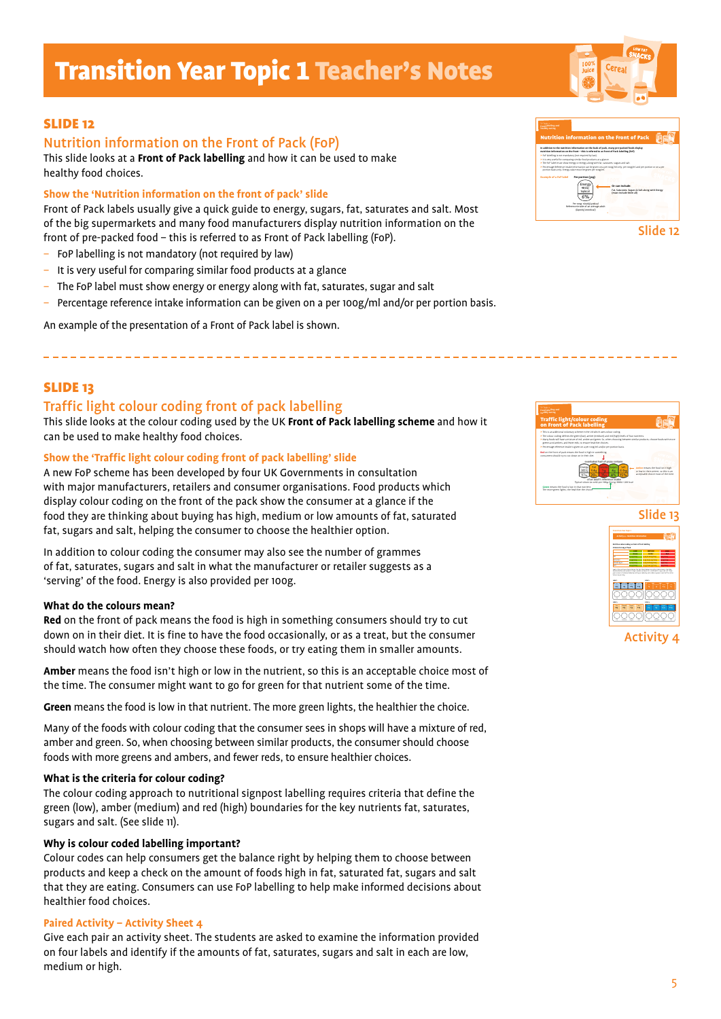## SLIDE 12

## Nutrition information on the Front of Pack (FoP)

This slide looks at a **Front of Pack labelling** and how it can be used to make healthy food choices.

#### **Show the 'Nutrition information on the front of pack' slide**

Front of Pack labels usually give a quick guide to energy, sugars, fat, saturates and salt. Most of the big supermarkets and many food manufacturers display nutrition information on the front of pre-packed food – this is referred to as Front of Pack labelling (FoP).

- FoP labelling is not mandatory (not required by law)
- It is very useful for comparing similar food products at a glance
- The FoP label must show energy or energy along with fat, saturates, sugar and salt
- Percentage reference intake information can be given on a per 100g/ml and/or per portion basis.

An example of the presentation of a Front of Pack label is shown.

## SLIDE 13

## Traffic light colour coding front of pack labelling

This slide looks at the colour coding used by the UK **Front of Pack labelling scheme** and how it can be used to make healthy food choices.

#### **Show the 'Traffic light colour coding front of pack labelling' slide**

A new FoP scheme has been developed by four UK Governments in consultation with major manufacturers, retailers and consumer organisations. Food products which display colour coding on the front of the pack show the consumer at a glance if the food they are thinking about buying has high, medium or low amounts of fat, saturated fat, sugars and salt, helping the consumer to choose the healthier option.

In addition to colour coding the consumer may also see the number of grammes of fat, saturates, sugars and salt in what the manufacturer or retailer suggests as a 'serving' of the food. Energy is also provided per 100g.

#### **What do the colours mean?**

**Red** on the front of pack means the food is high in something consumers should try to cut down on in their diet. It is fine to have the food occasionally, or as a treat, but the consumer should watch how often they choose these foods, or try eating them in smaller amounts.

**Amber** means the food isn't high or low in the nutrient, so this is an acceptable choice most of the time. The consumer might want to go for green for that nutrient some of the time.

**Green** means the food is low in that nutrient. The more green lights, the healthier the choice.

Many of the foods with colour coding that the consumer sees in shops will have a mixture of red, amber and green. So, when choosing between similar products, the consumer should choose foods with more greens and ambers, and fewer reds, to ensure healthier choices.

#### **What is the criteria for colour coding?**

The colour coding approach to nutritional signpost labelling requires criteria that define the green (low), amber (medium) and red (high) boundaries for the key nutrients fat, saturates, sugars and salt. (See slide 11).

#### **Why is colour coded labelling important?**

Colour codes can help consumers get the balance right by helping them to choose between products and keep a check on the amount of foods high in fat, saturated fat, sugars and salt that they are eating. Consumers can use FoP labelling to help make informed decisions about healthier food choices.

#### **Paired Activity – Activity Sheet 4**

Give each pair an activity sheet. The students are asked to examine the information provided on four labels and identify if the amounts of fat, saturates, sugars and salt in each are low, medium or high.



Slide 12





### Activity 4